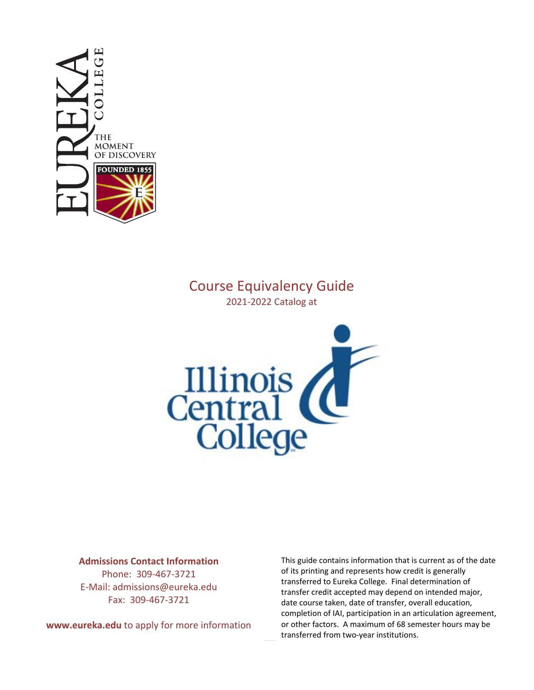

# Course Equivalency Guide 2021-2022 Catalog at



## **Admissions Contact Information**

Phone: 309-467-3721 E-Mail: admissions@eureka.edu Fax: 309-467-3721

**www.eureka.edu** to apply for more information

This guide contains information that is current as of the date of its printing and represents how credit is generally transferred to Eureka College. Final determination of transfer credit accepted may depend on intended major, date course taken, date of transfer, overall education, completion of IAI, participation in an articulation agreement, or other factors. A maximum of 68 semester hours may be transferred from two-year institutions.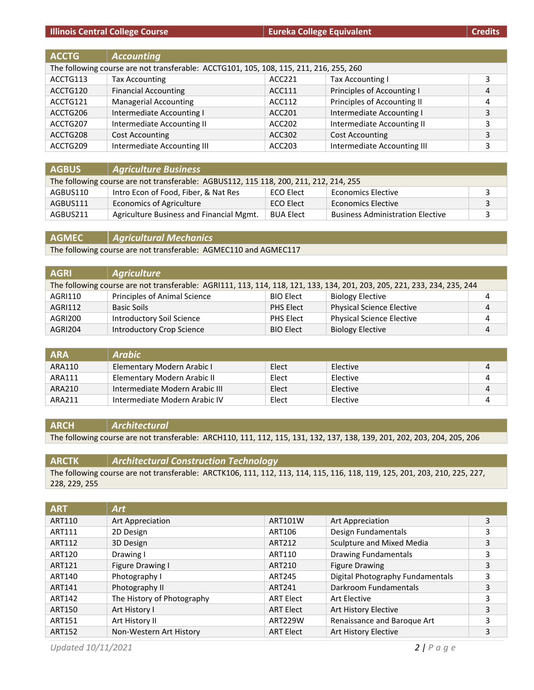# **Illinois Central College Course Eureka College Equivalent**

| <b>Credits</b> |  |  |
|----------------|--|--|
|                |  |  |
|                |  |  |

| <b>ACCTG</b> | <b>Accounting</b>                                                                      |        |                             |   |
|--------------|----------------------------------------------------------------------------------------|--------|-----------------------------|---|
|              | The following course are not transferable: ACCTG101, 105, 108, 115, 211, 216, 255, 260 |        |                             |   |
| ACCTG113     | <b>Tax Accounting</b>                                                                  | ACC221 | Tax Accounting I            | 3 |
| ACCTG120     | <b>Financial Accounting</b>                                                            | ACC111 | Principles of Accounting I  | 4 |
| ACCTG121     | <b>Managerial Accounting</b>                                                           | ACC112 | Principles of Accounting II | 4 |
| ACCTG206     | Intermediate Accounting I                                                              | ACC201 | Intermediate Accounting I   | 3 |
| ACCTG207     | Intermediate Accounting II                                                             | ACC202 | Intermediate Accounting II  | 3 |
| ACCTG208     | <b>Cost Accounting</b>                                                                 | ACC302 | <b>Cost Accounting</b>      | 3 |
| ACCTG209     | Intermediate Accounting III                                                            | ACC203 | Intermediate Accounting III | 3 |

| <b>AGBUS</b> | <b>Agriculture Business</b>                                                           |                  |                                         |  |
|--------------|---------------------------------------------------------------------------------------|------------------|-----------------------------------------|--|
|              | The following course are not transferable: AGBUS112, 115 118, 200, 211, 212, 214, 255 |                  |                                         |  |
| AGBUS110     | Intro Econ of Food, Fiber, & Nat Res                                                  | ECO Elect        | <b>Economics Elective</b>               |  |
| AGBUS111     | Economics of Agriculture                                                              | ECO Elect        | <b>Economics Elective</b>               |  |
| AGBUS211     | Agriculture Business and Financial Mgmt.                                              | <b>BUA Elect</b> | <b>Business Administration Elective</b> |  |

**AGMEC** *Agricultural Mechanics* The following course are not transferable: AGMEC110 and AGMEC117

| <b>AGRI</b> | Agriculture                                                                                                              |                  |                                  |   |
|-------------|--------------------------------------------------------------------------------------------------------------------------|------------------|----------------------------------|---|
|             | The following course are not transferable: AGRI111, 113, 114, 118, 121, 133, 134, 201, 203, 205, 221, 233, 234, 235, 244 |                  |                                  |   |
| AGRI110     | Principles of Animal Science                                                                                             | <b>BIO Elect</b> | <b>Biology Elective</b>          | 4 |
| AGRI112     | Basic Soils                                                                                                              | PHS Elect        | <b>Physical Science Elective</b> | 4 |
| AGRI200     | <b>Introductory Soil Science</b>                                                                                         | PHS Elect        | <b>Physical Science Elective</b> | 4 |
| AGRI204     | Introductory Crop Science                                                                                                | <b>BIO Elect</b> | <b>Biology Elective</b>          | 4 |

| <b>ARA</b> | Arabic                         |       |          |   |
|------------|--------------------------------|-------|----------|---|
| ARA110     | Elementary Modern Arabic I     | Elect | Elective |   |
| ARA111     | Elementary Modern Arabic II    | Elect | Elective |   |
| ARA210     | Intermediate Modern Arabic III | Elect | Elective | 4 |
| ARA211     | Intermediate Modern Arabic IV  | Elect | Elective |   |

#### **ARCH** *Architectural*

The following course are not transferable: ARCH110, 111, 112, 115, 131, 132, 137, 138, 139, 201, 202, 203, 204, 205, 206

| <b>ARCTK</b>  | Architectural Construction Technology                                                                                      |
|---------------|----------------------------------------------------------------------------------------------------------------------------|
|               | The following course are not transferable: ARCTK106, 111, 112, 113, 114, 115, 116, 118, 119, 125, 201, 203, 210, 225, 227, |
| 228, 229, 255 |                                                                                                                            |

| <b>ART</b>    | <b>Art</b>                 |                  |                                  |   |
|---------------|----------------------------|------------------|----------------------------------|---|
| ART110        | Art Appreciation           | ART101W          | Art Appreciation                 | 3 |
| ART111        | 2D Design                  | ART106           | Design Fundamentals              | 3 |
| ART112        | 3D Design                  | ART212           | Sculpture and Mixed Media        | 3 |
| ART120        | Drawing I                  | ART110           | <b>Drawing Fundamentals</b>      | 3 |
| ART121        | Figure Drawing I           | ART210           | <b>Figure Drawing</b>            | 3 |
| ART140        | Photography I              | <b>ART245</b>    | Digital Photography Fundamentals | 3 |
| ART141        | Photography II             | ART241           | Darkroom Fundamentals            | 3 |
| ART142        | The History of Photography | <b>ART Elect</b> | Art Elective                     | 3 |
| <b>ART150</b> | Art History I              | <b>ART Elect</b> | Art History Elective             | 3 |
| ART151        | Art History II             | ART229W          | Renaissance and Baroque Art      | 3 |
| <b>ART152</b> | Non-Western Art History    | <b>ART Elect</b> | Art History Elective             | 3 |

*Updated 10/11/2021 2 | Page*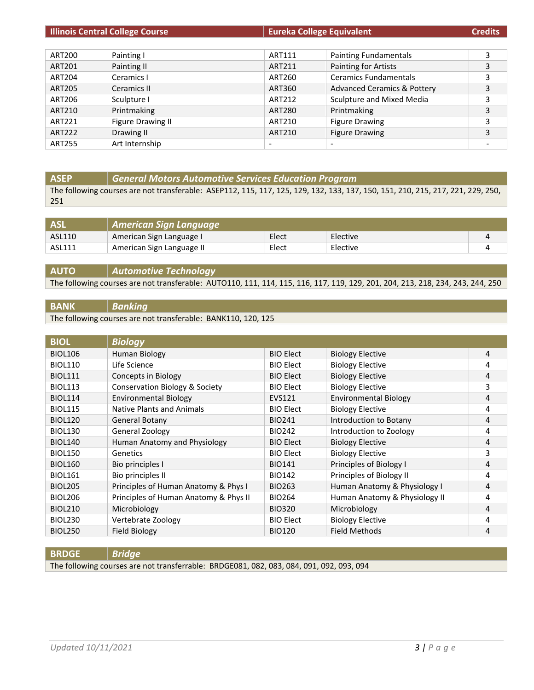| <b>Illinois Central College Course</b> |                   | <b>Eureka College Equivalent</b> |                                        | <b>Credits</b> |
|----------------------------------------|-------------------|----------------------------------|----------------------------------------|----------------|
|                                        |                   |                                  |                                        |                |
| ART200                                 | Painting I        | ART111                           | <b>Painting Fundamentals</b>           | 3              |
| ART201                                 | Painting II       | ART211                           | Painting for Artists                   |                |
| <b>ART204</b>                          | Ceramics I        | <b>ART260</b>                    | <b>Ceramics Fundamentals</b>           |                |
| <b>ART205</b>                          | Ceramics II       | ART360                           | <b>Advanced Ceramics &amp; Pottery</b> | 3              |
| ART206                                 | Sculpture I       | ART212                           | Sculpture and Mixed Media              |                |
| ART210                                 | Printmaking       | <b>ART280</b>                    | Printmaking                            |                |
| ART221                                 | Figure Drawing II | ART210                           | <b>Figure Drawing</b>                  | 3              |
| <b>ART222</b>                          | Drawing II        | ART210                           | <b>Figure Drawing</b>                  | 3              |
| <b>ART255</b>                          | Art Internship    | $\overline{\phantom{a}}$         | $\overline{\phantom{a}}$               |                |

# **ASEP** *General Motors Automotive Services Education Program*

The following courses are not transferable: ASEP112, 115, 117, 125, 129, 132, 133, 137, 150, 151, 210, 215, 217, 221, 229, 250, 251

|        | American Sign Language    |       |          |  |
|--------|---------------------------|-------|----------|--|
| ASL110 | American Sign Language I  | Elect | Elective |  |
| ASL111 | American Sign Language II | Elect | Elective |  |

### **AUTO** *Automotive Technology* The following courses are not transferable: AUTO110, 111, 114, 115, 116, 117, 119, 129, 201, 204, 213, 218, 234, 243, 244, 250

#### **BANK** *Banking*

The following courses are not transferable: BANK110, 120, 125

| <b>BIOL</b>    | <b>Biology</b>                            |                  |                               |   |
|----------------|-------------------------------------------|------------------|-------------------------------|---|
| <b>BIOL106</b> | Human Biology                             | <b>BIO Elect</b> | <b>Biology Elective</b>       | 4 |
| <b>BIOL110</b> | Life Science                              | <b>BIO Elect</b> | <b>Biology Elective</b>       | 4 |
| <b>BIOL111</b> | Concepts in Biology                       | <b>BIO Elect</b> | <b>Biology Elective</b>       | 4 |
| <b>BIOL113</b> | <b>Conservation Biology &amp; Society</b> | <b>BIO Elect</b> | <b>Biology Elective</b>       | 3 |
| <b>BIOL114</b> | <b>Environmental Biology</b>              | EVS121           | <b>Environmental Biology</b>  | 4 |
| <b>BIOL115</b> | <b>Native Plants and Animals</b>          | <b>BIO Elect</b> | <b>Biology Elective</b>       | 4 |
| <b>BIOL120</b> | General Botany                            | <b>BIO241</b>    | Introduction to Botany        | 4 |
| <b>BIOL130</b> | General Zoology                           | <b>BIO242</b>    | Introduction to Zoology       | 4 |
| <b>BIOL140</b> | Human Anatomy and Physiology              | <b>BIO Elect</b> | <b>Biology Elective</b>       | 4 |
| <b>BIOL150</b> | Genetics                                  | <b>BIO Elect</b> | <b>Biology Elective</b>       | 3 |
| <b>BIOL160</b> | Bio principles I                          | <b>BIO141</b>    | Principles of Biology I       | 4 |
| <b>BIOL161</b> | Bio principles II                         | <b>BIO142</b>    | Principles of Biology II      | 4 |
| <b>BIOL205</b> | Principles of Human Anatomy & Phys I      | <b>BIO263</b>    | Human Anatomy & Physiology I  | 4 |
| <b>BIOL206</b> | Principles of Human Anatomy & Phys II     | <b>BIO264</b>    | Human Anatomy & Physiology II | 4 |
| <b>BIOL210</b> | Microbiology                              | <b>BIO320</b>    | Microbiology                  | 4 |
| BIOL230        | Vertebrate Zoology                        | <b>BIO Elect</b> | <b>Biology Elective</b>       | 4 |
| <b>BIOL250</b> | <b>Field Biology</b>                      | <b>BIO120</b>    | <b>Field Methods</b>          | 4 |

#### **BRDGE** *Bridge*

The following courses are not transferrable: BRDGE081, 082, 083, 084, 091, 092, 093, 094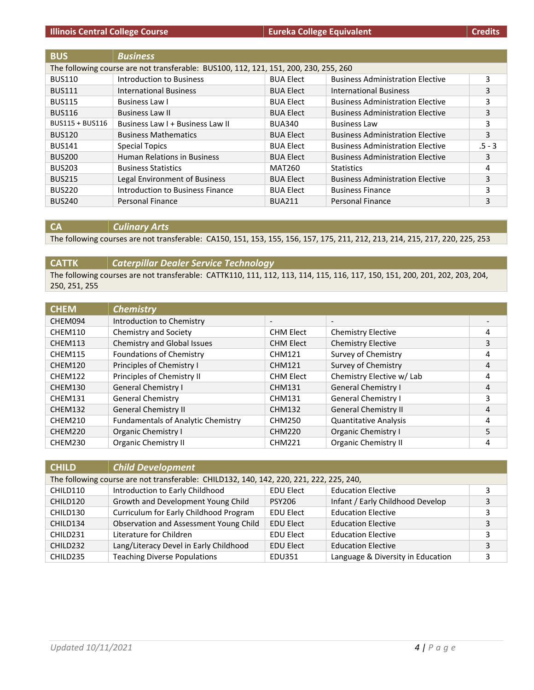| <b>BUS</b>      | <b>Business</b>                                                                      |                  |                                         |          |
|-----------------|--------------------------------------------------------------------------------------|------------------|-----------------------------------------|----------|
|                 | The following course are not transferable: BUS100, 112, 121, 151, 200, 230, 255, 260 |                  |                                         |          |
| <b>BUS110</b>   | Introduction to Business                                                             | <b>BUA Elect</b> | <b>Business Administration Elective</b> | 3        |
| <b>BUS111</b>   | <b>International Business</b>                                                        | <b>BUA Elect</b> | <b>International Business</b>           | 3        |
| <b>BUS115</b>   | Business Law I                                                                       | <b>BUA Elect</b> | <b>Business Administration Elective</b> | 3        |
| <b>BUS116</b>   | <b>Business Law II</b>                                                               | <b>BUA Elect</b> | <b>Business Administration Elective</b> | 3        |
| BUS115 + BUS116 | Business Law I + Business Law II                                                     | <b>BUA340</b>    | <b>Business Law</b>                     | 3        |
| <b>BUS120</b>   | <b>Business Mathematics</b>                                                          | <b>BUA Elect</b> | <b>Business Administration Elective</b> | 3        |
| <b>BUS141</b>   | <b>Special Topics</b>                                                                | <b>BUA Elect</b> | <b>Business Administration Elective</b> | $.5 - 3$ |
| <b>BUS200</b>   | <b>Human Relations in Business</b>                                                   | <b>BUA Elect</b> | <b>Business Administration Elective</b> | 3        |
| <b>BUS203</b>   | <b>Business Statistics</b>                                                           | MAT260           | <b>Statistics</b>                       | 4        |
| <b>BUS215</b>   | Legal Environment of Business                                                        | <b>BUA Elect</b> | <b>Business Administration Elective</b> | 3        |
| <b>BUS220</b>   | Introduction to Business Finance                                                     | <b>BUA Elect</b> | <b>Business Finance</b>                 | 3        |
| <b>BUS240</b>   | Personal Finance                                                                     | <b>BUA211</b>    | Personal Finance                        | 3        |

## **CA** *Culinary Arts*

The following courses are not transferable: CA150, 151, 153, 155, 156, 157, 175, 211, 212, 213, 214, 215, 217, 220, 225, 253

# **CATTK** *Caterpillar Dealer Service Technology* The following courses are not transferable: CATTK110, 111, 112, 113, 114, 115, 116, 117, 150, 151, 200, 201, 202, 203, 204, 250, 251, 255

| <b>CHEM</b> | <b>Chemistry</b>                          |                          |                              |   |
|-------------|-------------------------------------------|--------------------------|------------------------------|---|
| CHEM094     | Introduction to Chemistry                 | $\overline{\phantom{a}}$ | $\overline{\phantom{a}}$     |   |
| CHEM110     | Chemistry and Society                     | <b>CHM Elect</b>         | <b>Chemistry Elective</b>    | 4 |
| CHEM113     | Chemistry and Global Issues               | <b>CHM Elect</b>         | <b>Chemistry Elective</b>    | 3 |
| CHEM115     | <b>Foundations of Chemistry</b>           | <b>CHM121</b>            | Survey of Chemistry          | 4 |
| CHEM120     | Principles of Chemistry I                 | <b>CHM121</b>            | Survey of Chemistry          | 4 |
| CHEM122     | Principles of Chemistry II                | <b>CHM Elect</b>         | Chemistry Elective w/ Lab    | 4 |
| CHEM130     | <b>General Chemistry I</b>                | <b>CHM131</b>            | <b>General Chemistry I</b>   | 4 |
| CHEM131     | <b>General Chemistry</b>                  | <b>CHM131</b>            | <b>General Chemistry I</b>   | 3 |
| CHEM132     | <b>General Chemistry II</b>               | <b>CHM132</b>            | <b>General Chemistry II</b>  | 4 |
| CHEM210     | <b>Fundamentals of Analytic Chemistry</b> | <b>CHM250</b>            | <b>Quantitative Analysis</b> | 4 |
| CHEM220     | Organic Chemistry I                       | <b>CHM220</b>            | Organic Chemistry I          | 5 |
| CHEM230     | <b>Organic Chemistry II</b>               | <b>CHM221</b>            | <b>Organic Chemistry II</b>  | 4 |

| <b>CHILD</b> | <b>Child Development</b>                                                                |                  |                                   |   |
|--------------|-----------------------------------------------------------------------------------------|------------------|-----------------------------------|---|
|              | The following course are not transferable: CHILD132, 140, 142, 220, 221, 222, 225, 240, |                  |                                   |   |
| CHILD110     | Introduction to Early Childhood                                                         | <b>EDU Elect</b> | <b>Education Elective</b>         |   |
| CHILD120     | Growth and Development Young Child                                                      | <b>PSY206</b>    | Infant / Early Childhood Develop  | 3 |
| CHILD130     | Curriculum for Early Childhood Program                                                  | <b>EDU Elect</b> | <b>Education Elective</b>         |   |
| CHILD134     | Observation and Assessment Young Child                                                  | <b>EDU Elect</b> | <b>Education Elective</b>         | 3 |
| CHILD231     | Literature for Children                                                                 | EDU Elect        | <b>Education Elective</b>         |   |
| CHILD232     | Lang/Literacy Devel in Early Childhood                                                  | <b>EDU Elect</b> | <b>Education Elective</b>         | 3 |
| CHILD235     | <b>Teaching Diverse Populations</b>                                                     | EDU351           | Language & Diversity in Education | 3 |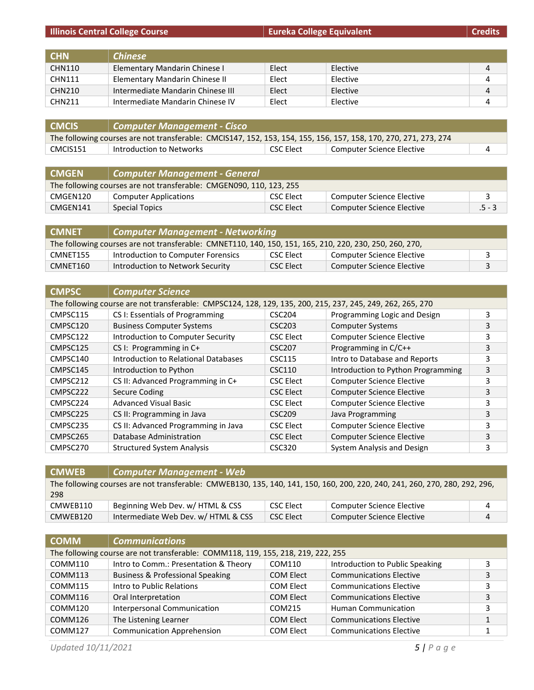|  | Ilinois Central College Course |
|--|--------------------------------|
|  |                                |

**Illinois College Equivalent College Equivalent Credits** 

| <b>CHN</b>    | <b>Chinese</b>                    |       |          |   |
|---------------|-----------------------------------|-------|----------|---|
| <b>CHN110</b> | Elementary Mandarin Chinese I     | Elect | Elective | 4 |
| <b>CHN111</b> | Elementary Mandarin Chinese II    | Elect | Elective | 4 |
| CHN210        | Intermediate Mandarin Chinese III | Elect | Elective | 4 |
| <b>CHN211</b> | Intermediate Mandarin Chinese IV  | Elect | Elective |   |

| CMCIS    | Computer Management - Cisco                                                                                      |           |                           |  |
|----------|------------------------------------------------------------------------------------------------------------------|-----------|---------------------------|--|
|          | The following courses are not transferable: CMCIS147, 152, 153, 154, 155, 156, 157, 158, 170, 270, 271, 273, 274 |           |                           |  |
| CMCIS151 | Introduction to Networks                                                                                         | CSC Elect | Computer Science Elective |  |

| CMGEN                                                               | <b>Computer Management - General</b> |           |                                  |          |
|---------------------------------------------------------------------|--------------------------------------|-----------|----------------------------------|----------|
| The following courses are not transferable: CMGEN090, 110, 123, 255 |                                      |           |                                  |          |
| CMGEN120                                                            | <b>Computer Applications</b>         | CSC Elect | <b>Computer Science Elective</b> |          |
| CMGEN141                                                            | Special Topics                       | CSC Elect | Computer Science Elective        | $.5 - 3$ |

| <b>CMNET</b>                                                                                            | <b>Computer Management - Networking</b> |           |                           |  |
|---------------------------------------------------------------------------------------------------------|-----------------------------------------|-----------|---------------------------|--|
| The following courses are not transferable: CMNET110, 140, 150, 151, 165, 210, 220, 230, 250, 260, 270, |                                         |           |                           |  |
| CMNET155                                                                                                | Introduction to Computer Forensics      | CSC Elect | Computer Science Elective |  |
| CMNET160                                                                                                | Introduction to Network Security        | CSC Elect | Computer Science Elective |  |

| <b>CMPSC</b> | <b>Computer Science</b>                                                                                    |                    |                                    |   |
|--------------|------------------------------------------------------------------------------------------------------------|--------------------|------------------------------------|---|
|              | The following course are not transferable: CMPSC124, 128, 129, 135, 200, 215, 237, 245, 249, 262, 265, 270 |                    |                                    |   |
| CMPSC115     | CS I: Essentials of Programming                                                                            | CSC204             | Programming Logic and Design       | 3 |
| CMPSC120     | <b>Business Computer Systems</b>                                                                           | CSC <sub>203</sub> | <b>Computer Systems</b>            | 3 |
| CMPSC122     | Introduction to Computer Security                                                                          | <b>CSC Elect</b>   | <b>Computer Science Elective</b>   | 3 |
| CMPSC125     | CS I: Programming in C+                                                                                    | <b>CSC207</b>      | Programming in C/C++               | 3 |
| CMPSC140     | Introduction to Relational Databases                                                                       | <b>CSC115</b>      | Intro to Database and Reports      | 3 |
| CMPSC145     | Introduction to Python                                                                                     | CSC110             | Introduction to Python Programming | 3 |
| CMPSC212     | CS II: Advanced Programming in C+                                                                          | <b>CSC Elect</b>   | <b>Computer Science Elective</b>   | 3 |
| CMPSC222     | Secure Coding                                                                                              | <b>CSC Elect</b>   | <b>Computer Science Elective</b>   | 3 |
| CMPSC224     | <b>Advanced Visual Basic</b>                                                                               | <b>CSC Elect</b>   | <b>Computer Science Elective</b>   | 3 |
| CMPSC225     | CS II: Programming in Java                                                                                 | CSC <sub>209</sub> | Java Programming                   | 3 |
| CMPSC235     | CS II: Advanced Programming in Java                                                                        | <b>CSC Elect</b>   | <b>Computer Science Elective</b>   | 3 |
| CMPSC265     | Database Administration                                                                                    | <b>CSC Elect</b>   | <b>Computer Science Elective</b>   | 3 |
| CMPSC270     | <b>Structured System Analysis</b>                                                                          | <b>CSC320</b>      | System Analysis and Design         | 3 |

| <b>CMWEB</b> | <b>Computer Management - Web</b>                                                                                            |           |                                  |                |
|--------------|-----------------------------------------------------------------------------------------------------------------------------|-----------|----------------------------------|----------------|
| 298          | The following courses are not transferable: CMWEB130, 135, 140, 141, 150, 160, 200, 220, 240, 241, 260, 270, 280, 292, 296, |           |                                  |                |
| CMWEB110     | Beginning Web Dev. w/ HTML & CSS                                                                                            | CSC Elect | Computer Science Elective        | 4              |
| CMWEB120     | Intermediate Web Dev. w/ HTML & CSS                                                                                         | CSC Elect | <b>Computer Science Elective</b> | $\overline{4}$ |

| <b>COMM</b> | <b>Communications</b>                                                            |                  |                                 |   |
|-------------|----------------------------------------------------------------------------------|------------------|---------------------------------|---|
|             | The following course are not transferable: COMM118, 119, 155, 218, 219, 222, 255 |                  |                                 |   |
| COMM110     | Intro to Comm.: Presentation & Theory                                            | COM110           | Introduction to Public Speaking | 3 |
| COMM113     | <b>Business &amp; Professional Speaking</b>                                      | <b>COM Elect</b> | <b>Communications Elective</b>  | 3 |
| COMM115     | Intro to Public Relations                                                        | <b>COM Elect</b> | <b>Communications Elective</b>  | 3 |
| COMM116     | Oral Interpretation                                                              | <b>COM Elect</b> | <b>Communications Elective</b>  | 3 |
| COMM120     | Interpersonal Communication                                                      | COM215           | <b>Human Communication</b>      | 3 |
| COMM126     | The Listening Learner                                                            | <b>COM Elect</b> | <b>Communications Elective</b>  |   |
| COMM127     | <b>Communication Apprehension</b>                                                | COM Elect        | <b>Communications Elective</b>  |   |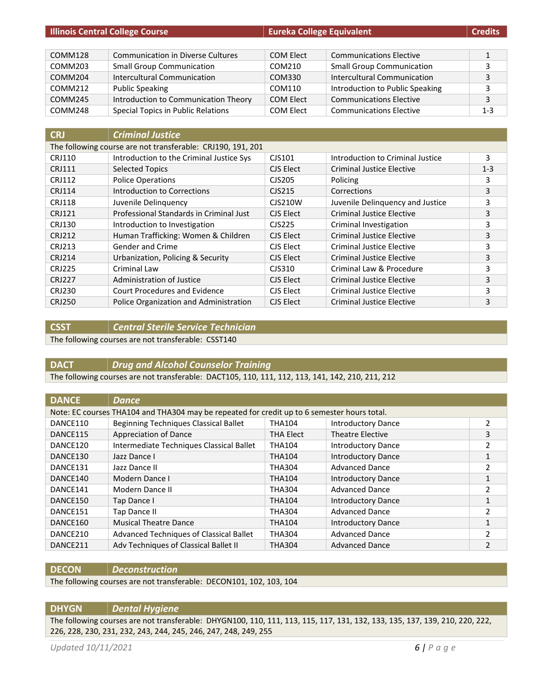| <b>Illinois Central College Course</b> |                                          | <b>Eureka College Equivalent</b> |                                  | <b>Credits</b> |
|----------------------------------------|------------------------------------------|----------------------------------|----------------------------------|----------------|
|                                        |                                          |                                  |                                  |                |
| COMM128                                | <b>Communication in Diverse Cultures</b> | COM Elect                        | <b>Communications Elective</b>   | 1              |
| COMM203                                | <b>Small Group Communication</b>         | COM210                           | <b>Small Group Communication</b> | 3              |
| COMM204                                | Intercultural Communication              | COM330                           | Intercultural Communication      | 3              |
| COMM212                                | <b>Public Speaking</b>                   | COM110                           | Introduction to Public Speaking  | 3              |
| COMM245                                | Introduction to Communication Theory     | <b>COM Elect</b>                 | <b>Communications Elective</b>   | 3              |
| COMM248                                | Special Topics in Public Relations       | <b>COM Elect</b>                 | <b>Communications Elective</b>   | $1 - 3$        |

| <b>CRJ</b>    | <b>Criminal Justice</b>                                     |                                  |                                  |         |
|---------------|-------------------------------------------------------------|----------------------------------|----------------------------------|---------|
|               | The following course are not transferable: CRJ190, 191, 201 |                                  |                                  |         |
| <b>CRJ110</b> | Introduction to the Criminal Justice Sys                    | CJS101                           | Introduction to Criminal Justice | 3       |
| <b>CRJ111</b> | <b>Selected Topics</b>                                      | CJS Elect                        | <b>Criminal Justice Elective</b> | $1 - 3$ |
| <b>CRJ112</b> | <b>Police Operations</b>                                    | CJS205                           | Policing                         | 3       |
| <b>CRJ114</b> | Introduction to Corrections                                 | C <sub>1</sub> S <sub>2</sub> 15 | Corrections                      | 3       |
| <b>CRJ118</b> | Juvenile Delinquency                                        | CJS210W                          | Juvenile Delinguency and Justice | 3       |
| CRJ121        | Professional Standards in Criminal Just                     | CJS Elect                        | Criminal Justice Elective        | 3       |
| <b>CRJ130</b> | Introduction to Investigation                               | CJS225                           | Criminal Investigation           | 3       |
| <b>CRJ212</b> | Human Trafficking: Women & Children                         | CJS Elect                        | Criminal Justice Elective        | 3       |
| CRJ213        | Gender and Crime                                            | CJS Elect                        | Criminal Justice Elective        | 3       |
| <b>CRJ214</b> | Urbanization, Policing & Security                           | CJS Elect                        | Criminal Justice Elective        | 3       |
| <b>CRJ225</b> | Criminal Law                                                | $C$ JS310                        | Criminal Law & Procedure         | 3       |
| <b>CRJ227</b> | Administration of Justice                                   | CJS Elect                        | <b>Criminal Justice Elective</b> | 3       |
| <b>CRJ230</b> | Court Procedures and Evidence                               | CJS Elect                        | <b>Criminal Justice Elective</b> | 3       |
| <b>CRJ250</b> | Police Organization and Administration                      | CJS Elect                        | <b>Criminal Justice Elective</b> | 3       |

**CSST** *Central Sterile Service Technician*

The following courses are not transferable: CSST140

**DACT** *Drug and Alcohol Counselor Training*

The following courses are not transferable: DACT105, 110, 111, 112, 113, 141, 142, 210, 211, 212

| <b>DANCE</b> | <b>Dance</b>                                                                                |                  |                           |               |
|--------------|---------------------------------------------------------------------------------------------|------------------|---------------------------|---------------|
|              | Note: EC courses THA104 and THA304 may be repeated for credit up to 6 semester hours total. |                  |                           |               |
| DANCE110     | Beginning Techniques Classical Ballet                                                       | <b>THA104</b>    | <b>Introductory Dance</b> | 2             |
| DANCE115     | Appreciation of Dance                                                                       | <b>THA Elect</b> | <b>Theatre Elective</b>   | 3             |
| DANCE120     | Intermediate Techniques Classical Ballet                                                    | <b>THA104</b>    | <b>Introductory Dance</b> | 2             |
| DANCE130     | Jazz Dance I                                                                                | <b>THA104</b>    | <b>Introductory Dance</b> | 1             |
| DANCE131     | Jazz Dance II                                                                               | <b>THA304</b>    | <b>Advanced Dance</b>     | 2             |
| DANCE140     | Modern Dance I                                                                              | <b>THA104</b>    | <b>Introductory Dance</b> | 1             |
| DANCE141     | Modern Dance II                                                                             | <b>THA304</b>    | <b>Advanced Dance</b>     | 2             |
| DANCE150     | Tap Dance I                                                                                 | <b>THA104</b>    | <b>Introductory Dance</b> | 1             |
| DANCE151     | <b>Tap Dance II</b>                                                                         | <b>THA304</b>    | <b>Advanced Dance</b>     | $\mathfrak z$ |
| DANCE160     | <b>Musical Theatre Dance</b>                                                                | <b>THA104</b>    | <b>Introductory Dance</b> | 1             |
| DANCE210     | Advanced Techniques of Classical Ballet                                                     | <b>THA304</b>    | <b>Advanced Dance</b>     | 2             |
| DANCE211     | Adv Techniques of Classical Ballet II                                                       | <b>THA304</b>    | <b>Advanced Dance</b>     | 2             |

#### **DECON** *Deconstruction*

The following courses are not transferable: DECON101, 102, 103, 104

# **DHYGN** *Dental Hygiene*

The following courses are not transferable: DHYGN100, 110, 111, 113, 115, 117, 131, 132, 133, 135, 137, 139, 210, 220, 222, 226, 228, 230, 231, 232, 243, 244, 245, 246, 247, 248, 249, 255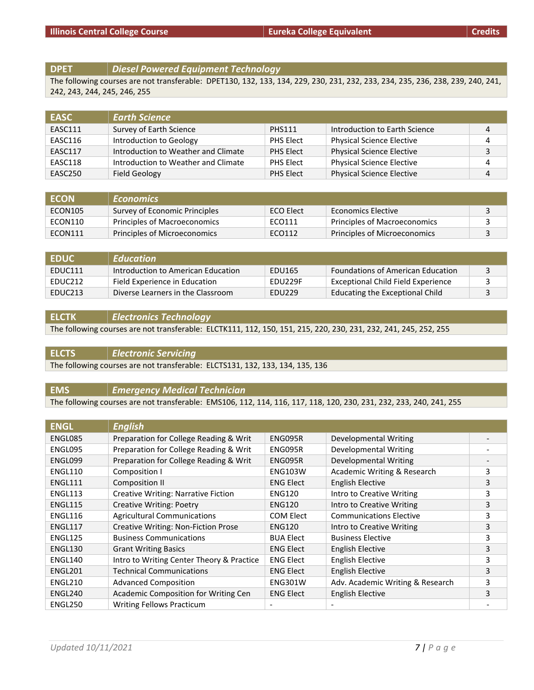#### **DPET** *Diesel Powered Equipment Technology*

The following courses are not transferable: DPET130, 132, 133, 134, 229, 230, 231, 232, 233, 234, 235, 236, 238, 239, 240, 241, 242, 243, 244, 245, 246, 255

| <b>EASC</b> | <b>Earth Science</b>                |               |                                  |   |
|-------------|-------------------------------------|---------------|----------------------------------|---|
| EASC111     | Survey of Earth Science             | <b>PHS111</b> | Introduction to Earth Science    | 4 |
| EASC116     | Introduction to Geology             | PHS Elect     | <b>Physical Science Elective</b> | 4 |
| EASC117     | Introduction to Weather and Climate | PHS Elect     | <b>Physical Science Elective</b> | 3 |
| EASC118     | Introduction to Weather and Climate | PHS Elect     | <b>Physical Science Elective</b> | 4 |
| EASC250     | Field Geology                       | PHS Elect     | <b>Physical Science Elective</b> | 4 |

| <b>FCON</b> | <b>Economics</b>              |           |                                     |  |
|-------------|-------------------------------|-----------|-------------------------------------|--|
| ECON105     | Survey of Economic Principles | ECO Elect | Economics Elective                  |  |
| ECON110     | Principles of Macroeconomics  | ECO111    | <b>Principles of Macroeconomics</b> |  |
| ECON111     | Principles of Microeconomics  | ECO112    | Principles of Microeconomics        |  |

| <b>EDUC</b>         | <b>Education</b>                   |               |                                          |  |
|---------------------|------------------------------------|---------------|------------------------------------------|--|
| EDUC111             | Introduction to American Education | EDU165        | <b>Foundations of American Education</b> |  |
| EDUC212             | Field Experience in Education      | EDU229F       | Exceptional Child Field Experience       |  |
| EDUC <sub>213</sub> | Diverse Learners in the Classroom  | <b>EDU229</b> | Educating the Exceptional Child          |  |

**ELCTK** *Electronics Technology*

The following courses are not transferable: ELCTK111, 112, 150, 151, 215, 220, 230, 231, 232, 241, 245, 252, 255

**ELCTS** *Electronic Servicing* The following courses are not transferable: ELCTS131, 132, 133, 134, 135, 136

**EMS** *Emergency Medical Technician*

The following courses are not transferable: EMS106, 112, 114, 116, 117, 118, 120, 230, 231, 232, 233, 240, 241, 255

| <b>ENGL</b> | <b>English</b>                             |                  |                                  |   |
|-------------|--------------------------------------------|------------------|----------------------------------|---|
| ENGL085     | Preparation for College Reading & Writ     | ENG095R          | Developmental Writing            |   |
| ENGL095     | Preparation for College Reading & Writ     | ENG095R          | Developmental Writing            |   |
| ENGL099     | Preparation for College Reading & Writ     | ENG095R          | Developmental Writing            |   |
| ENGL110     | Composition I                              | <b>ENG103W</b>   | Academic Writing & Research      | 3 |
| ENGL111     | Composition II                             | <b>ENG Elect</b> | English Elective                 | 3 |
| ENGL113     | <b>Creative Writing: Narrative Fiction</b> | <b>ENG120</b>    | Intro to Creative Writing        | 3 |
| ENGL115     | <b>Creative Writing: Poetry</b>            | <b>ENG120</b>    | Intro to Creative Writing        | 3 |
| ENGL116     | <b>Agricultural Communications</b>         | <b>COM Elect</b> | <b>Communications Elective</b>   | 3 |
| ENGL117     | <b>Creative Writing: Non-Fiction Prose</b> | <b>ENG120</b>    | Intro to Creative Writing        | 3 |
| ENGL125     | <b>Business Communications</b>             | <b>BUA Elect</b> | <b>Business Elective</b>         | 3 |
| ENGL130     | <b>Grant Writing Basics</b>                | <b>ENG Elect</b> | English Elective                 | 3 |
| ENGL140     | Intro to Writing Center Theory & Practice  | <b>ENG Elect</b> | <b>English Elective</b>          | 3 |
| ENGL201     | <b>Technical Communications</b>            | <b>ENG Elect</b> | <b>English Elective</b>          | 3 |
| ENGL210     | <b>Advanced Composition</b>                | <b>ENG301W</b>   | Adv. Academic Writing & Research | 3 |
| ENGL240     | Academic Composition for Writing Cen       | <b>ENG Elect</b> | <b>English Elective</b>          | 3 |
| ENGL250     | <b>Writing Fellows Practicum</b>           |                  |                                  |   |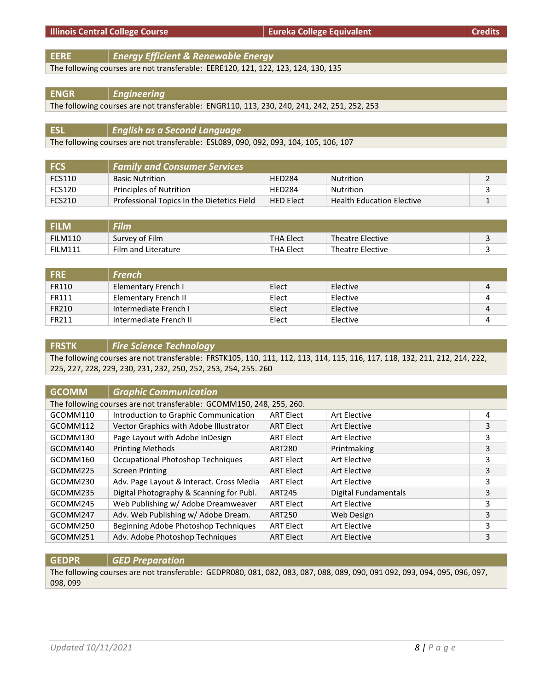**EERE** *Energy Efficient & Renewable Energy*

The following courses are not transferable: EERE120, 121, 122, 123, 124, 130, 135

# **ENGR** *Engineering*

The following courses are not transferable: ENGR110, 113, 230, 240, 241, 242, 251, 252, 253

| <b>ESL</b> | $\vert\,\vert$ English as a Second Language $\vert$                                   |
|------------|---------------------------------------------------------------------------------------|
|            | The following courses are not transferable: ESL089, 090, 092, 093, 104, 105, 106, 107 |

| l FCS. | <b>Family and Consumer Services</b>        |                  |                                  |  |
|--------|--------------------------------------------|------------------|----------------------------------|--|
| FCS110 | <b>Basic Nutrition</b>                     | <b>HED284</b>    | Nutrition                        |  |
| FCS120 | Principles of Nutrition                    | <b>HED284</b>    | Nutrition                        |  |
| FCS210 | Professional Topics In the Dietetics Field | <b>HED Elect</b> | <b>Health Education Elective</b> |  |

| <b>FILM</b>    | Film                |                  |                         |  |
|----------------|---------------------|------------------|-------------------------|--|
| FILM110        | Survey of Film      | <b>THA Elect</b> | Theatre Elective        |  |
| <b>FILM111</b> | Film and Literature | <b>THA Elect</b> | <b>Theatre Elective</b> |  |

| <b>FRE</b> | French                 |       |          |   |
|------------|------------------------|-------|----------|---|
| FR110      | Elementary French I    | Elect | Elective | 4 |
| FR111      | Elementary French II   | Elect | Elective | 4 |
| FR210      | Intermediate French I  | Elect | Elective | 4 |
| FR211      | Intermediate French II | Elect | Elective |   |

# **FRSTK** *Fire Science Technology*

The following courses are not transferable: FRSTK105, 110, 111, 112, 113, 114, 115, 116, 117, 118, 132, 211, 212, 214, 222, 225, 227, 228, 229, 230, 231, 232, 250, 252, 253, 254, 255. 260

| <b>GCOMM</b> | <b>Graphic Communication</b>                                         |                  |                             |   |
|--------------|----------------------------------------------------------------------|------------------|-----------------------------|---|
|              | The following courses are not transferable: GCOMM150, 248, 255, 260. |                  |                             |   |
| GCOMM110     | Introduction to Graphic Communication                                | <b>ART Elect</b> | Art Elective                | 4 |
| GCOMM112     | Vector Graphics with Adobe Illustrator                               | <b>ART Elect</b> | Art Elective                | 3 |
| GCOMM130     | Page Layout with Adobe InDesign                                      | <b>ART Elect</b> | Art Elective                | 3 |
| GCOMM140     | <b>Printing Methods</b>                                              | <b>ART280</b>    | Printmaking                 | 3 |
| GCOMM160     | <b>Occupational Photoshop Techniques</b>                             | <b>ART Elect</b> | Art Elective                | 3 |
| GCOMM225     | <b>Screen Printing</b>                                               | <b>ART Elect</b> | Art Elective                | 3 |
| GCOMM230     | Adv. Page Layout & Interact. Cross Media                             | <b>ART Elect</b> | Art Elective                | 3 |
| GCOMM235     | Digital Photography & Scanning for Publ.                             | <b>ART245</b>    | <b>Digital Fundamentals</b> | 3 |
| GCOMM245     | Web Publishing w/ Adobe Dreamweaver                                  | <b>ART Elect</b> | Art Elective                | 3 |
| GCOMM247     | Adv. Web Publishing w/ Adobe Dream.                                  | ART250           | <b>Web Design</b>           | 3 |
| GCOMM250     | Beginning Adobe Photoshop Techniques                                 | <b>ART Elect</b> | Art Elective                | 3 |
| GCOMM251     | Adv. Adobe Photoshop Techniques                                      | <b>ART Elect</b> | Art Elective                | 3 |

# **GEDPR** *GED Preparation*

The following courses are not transferable: GEDPR080, 081, 082, 083, 087, 088, 089, 090, 091 092, 093, 094, 095, 096, 097, 098, 099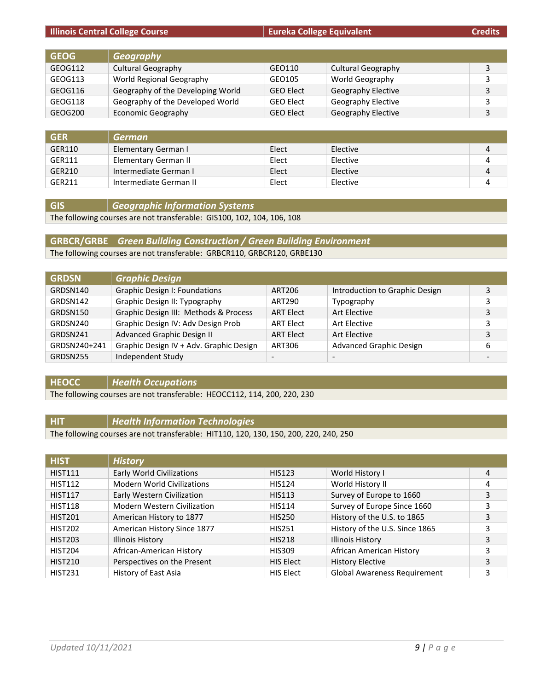|             | <b>Illinois Central College Course</b> | <b>Eureka College Equivalent</b> |                           | <b>Credits</b> |
|-------------|----------------------------------------|----------------------------------|---------------------------|----------------|
|             |                                        |                                  |                           |                |
| <b>GEOG</b> | <b>Geography</b>                       |                                  |                           |                |
| GEOG112     | <b>Cultural Geography</b>              | GEO110                           | <b>Cultural Geography</b> | 3              |
| GEOG113     | World Regional Geography               | GEO105                           | World Geography           | 3              |
| GEOG116     | Geography of the Developing World      | <b>GEO Elect</b>                 | Geography Elective        | 3              |
| GEOG118     | Geography of the Developed World       | <b>GEO Elect</b>                 | Geography Elective        | 3              |
| GEOG200     | <b>Economic Geography</b>              | <b>GEO Elect</b>                 | <b>Geography Elective</b> | 3              |

| <b>GER</b> | German                 |       |          |  |
|------------|------------------------|-------|----------|--|
| GER110     | Elementary German I    | Elect | Elective |  |
| GER111     | Elementary German II   | Elect | Elective |  |
| GER210     | Intermediate German I  | Elect | Elective |  |
| GER211     | Intermediate German II | Elect | Elective |  |

**GIS** *Geographic Information Systems*

The following courses are not transferable: GIS100, 102, 104, 106, 108

# **GRBCR/GRBE** *Green Building Construction / Green Building Environment*

The following courses are not transferable: GRBCR110, GRBCR120, GRBE130

| <b>GRDSN</b> | <b>Graphic Design</b>                   |                          |                                |                          |
|--------------|-----------------------------------------|--------------------------|--------------------------------|--------------------------|
| GRDSN140     | Graphic Design I: Foundations           | <b>ART206</b>            | Introduction to Graphic Design | 3                        |
| GRDSN142     | Graphic Design II: Typography           | ART290                   | Typography                     | 3                        |
| GRDSN150     | Graphic Design III: Methods & Process   | <b>ART Elect</b>         | <b>Art Elective</b>            | 3                        |
| GRDSN240     | Graphic Design IV: Adv Design Prob      | <b>ART Elect</b>         | Art Elective                   | 3                        |
| GRDSN241     | Advanced Graphic Design II              | <b>ART Elect</b>         | Art Elective                   | 3                        |
| GRDSN240+241 | Graphic Design IV + Adv. Graphic Design | ART306                   | <b>Advanced Graphic Design</b> | 6                        |
| GRDSN255     | Independent Study                       | $\overline{\phantom{a}}$ | $\overline{\phantom{a}}$       | $\overline{\phantom{a}}$ |

#### **HEOCC** *Health Occupations*

The following courses are not transferable: HEOCC112, 114, 200, 220, 230

# **HIT** *Health Information Technologies*

The following courses are not transferable: HIT110, 120, 130, 150, 200, 220, 240, 250

| <b>HIST</b>    | <b>History</b>                     |                  |                                     |   |
|----------------|------------------------------------|------------------|-------------------------------------|---|
| <b>HIST111</b> | <b>Early World Civilizations</b>   | <b>HIS123</b>    | World History I                     | 4 |
| <b>HIST112</b> | <b>Modern World Civilizations</b>  | <b>HIS124</b>    | World History II                    | 4 |
| <b>HIST117</b> | Early Western Civilization         | <b>HIS113</b>    | Survey of Europe to 1660            | 3 |
| <b>HIST118</b> | <b>Modern Western Civilization</b> | <b>HIS114</b>    | Survey of Europe Since 1660         | 3 |
| <b>HIST201</b> | American History to 1877           | <b>HIS250</b>    | History of the U.S. to 1865         | 3 |
| <b>HIST202</b> | American History Since 1877        | <b>HIS251</b>    | History of the U.S. Since 1865      | 3 |
| <b>HIST203</b> | <b>Illinois History</b>            | <b>HIS218</b>    | <b>Illinois History</b>             | 3 |
| <b>HIST204</b> | African-American History           | <b>HIS309</b>    | African American History            | 3 |
| <b>HIST210</b> | Perspectives on the Present        | <b>HIS Elect</b> | <b>History Elective</b>             | 3 |
| <b>HIST231</b> | History of East Asia               | HIS Elect        | <b>Global Awareness Requirement</b> | 3 |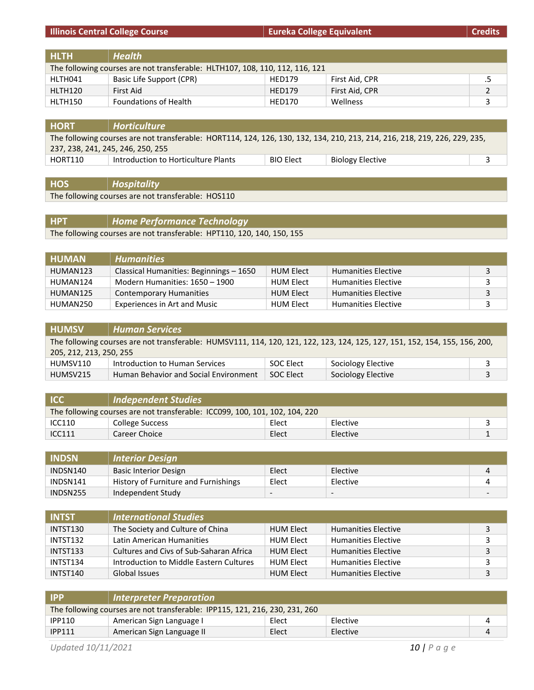# **Illinois Central College Course Eureka College Equivalent Eureka College Equivalent Credits**

| <b>HLTH</b>                                                                  | Health                   |               |                |  |
|------------------------------------------------------------------------------|--------------------------|---------------|----------------|--|
| The following courses are not transferable: HLTH107, 108, 110, 112, 116, 121 |                          |               |                |  |
| HLTH041                                                                      | Basic Life Support (CPR) | <b>HED179</b> | First Aid, CPR |  |
| HLTH120                                                                      | First Aid                | <b>HED179</b> | First Aid, CPR |  |
| HLTH150                                                                      | Foundations of Health    | <b>HED170</b> | Wellness       |  |

| <b>HORT</b>                       | <b>Horticulture</b>                                                                                                        |                  |                  |  |
|-----------------------------------|----------------------------------------------------------------------------------------------------------------------------|------------------|------------------|--|
|                                   | The following courses are not transferable: HORT114, 124, 126, 130, 132, 134, 210, 213, 214, 216, 218, 219, 226, 229, 235, |                  |                  |  |
| 237, 238, 241, 245, 246, 250, 255 |                                                                                                                            |                  |                  |  |
| HORT110                           | Introduction to Horticulture Plants                                                                                        | <b>BIO Elect</b> | Biology Elective |  |

**HOS** *Hospitality*

The following courses are not transferable: HOS110

| <b>HPT</b> | Home Performance Technology                                            |
|------------|------------------------------------------------------------------------|
|            | The following courses are not transferable: HPT110, 120, 140, 150, 155 |

| <b>HUMAN</b> | <b>Humanities</b>                       |                  |                            |  |
|--------------|-----------------------------------------|------------------|----------------------------|--|
| HUMAN123     | Classical Humanities: Beginnings - 1650 | <b>HUM Elect</b> | <b>Humanities Elective</b> |  |
| HUMAN124     | Modern Humanities: 1650 - 1900          | <b>HUM Elect</b> | <b>Humanities Elective</b> |  |
| HUMAN125     | <b>Contemporary Humanities</b>          | <b>HUM Elect</b> | <b>Humanities Elective</b> |  |
| HUMAN250     | <b>Experiences in Art and Music</b>     | <b>HUM Elect</b> | <b>Humanities Elective</b> |  |

| <b>HUMSV</b>                                                                                                                | <b>Human Services</b>                 |           |                    |  |
|-----------------------------------------------------------------------------------------------------------------------------|---------------------------------------|-----------|--------------------|--|
| The following courses are not transferable: HUMSV111, 114, 120, 121, 122, 123, 124, 125, 127, 151, 152, 154, 155, 156, 200, |                                       |           |                    |  |
| 205, 212, 213, 250, 255                                                                                                     |                                       |           |                    |  |
| HUMSV110                                                                                                                    | Introduction to Human Services        | SOC Elect | Sociology Elective |  |
| HUMSV215                                                                                                                    | Human Behavior and Social Environment | SOC Elect | Sociology Elective |  |

| <b>ICC</b>                                                                  | Independent Studies |       |          |  |
|-----------------------------------------------------------------------------|---------------------|-------|----------|--|
| The following courses are not transferable: ICC099, 100, 101, 102, 104, 220 |                     |       |          |  |
| ICC110                                                                      | College Success     | Elect | Elective |  |
| <b>ICC111</b>                                                               | Career Choice       | Elect | Elective |  |

| <b>INDSN</b> | <b>Interior Design</b>               |                          |                          |                          |
|--------------|--------------------------------------|--------------------------|--------------------------|--------------------------|
| INDSN140     | <b>Basic Interior Design</b>         | Elect                    | Elective                 |                          |
| INDSN141     | History of Furniture and Furnishings | Elect                    | Elective                 |                          |
| INDSN255     | Independent Study                    | $\overline{\phantom{0}}$ | $\overline{\phantom{0}}$ | $\overline{\phantom{0}}$ |

| <b>INTST</b> | <b>International Studies</b>            |                  |                            |   |
|--------------|-----------------------------------------|------------------|----------------------------|---|
| INTST130     | The Society and Culture of China        | HUM Elect        | <b>Humanities Elective</b> |   |
| INTST132     | Latin American Humanities               | HUM Elect        | <b>Humanities Elective</b> |   |
| INTST133     | Cultures and Civs of Sub-Saharan Africa | HUM Elect        | <b>Humanities Elective</b> | 3 |
| INTST134     | Introduction to Middle Eastern Cultures | HUM Elect        | <b>Humanities Elective</b> |   |
| INTST140     | Global Issues                           | <b>HUM Elect</b> | <b>Humanities Elective</b> |   |

| <b>IPP</b>    | Interpreter Preparation                                                     |       |          |  |
|---------------|-----------------------------------------------------------------------------|-------|----------|--|
|               | The following courses are not transferable: IPP115, 121, 216, 230, 231, 260 |       |          |  |
| <b>IPP110</b> | American Sign Language I                                                    | Elect | Elective |  |
| <b>IPP111</b> | American Sign Language II                                                   | Elect | Elective |  |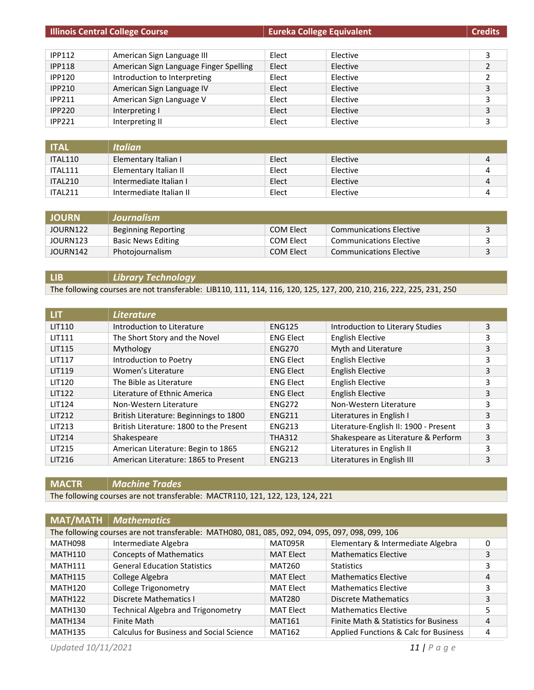| <b>Illinois Central College Course</b> |                                        | <b>Eureka College Equivalent</b> |          | <b>Credits</b> |
|----------------------------------------|----------------------------------------|----------------------------------|----------|----------------|
|                                        |                                        |                                  |          |                |
| <b>IPP112</b>                          | American Sign Language III             | Elect                            | Elective | 3              |
| <b>IPP118</b>                          | American Sign Language Finger Spelling | Elect                            | Elective |                |
| <b>IPP120</b>                          | Introduction to Interpreting           | Elect                            | Elective | 2              |
| <b>IPP210</b>                          | American Sign Language IV              | Elect                            | Elective | 3              |
| <b>IPP211</b>                          | American Sign Language V               | Elect                            | Elective | 3              |
| <b>IPP220</b>                          | Interpreting I                         | Elect                            | Elective | 3              |
| <b>IPP221</b>                          | Interpreting II                        | Elect                            | Elective | 3              |

| <b>ITAL</b> | <b>Italian</b>          |       |          |   |
|-------------|-------------------------|-------|----------|---|
| ITAL110     | Elementary Italian I    | Elect | Elective |   |
| ITAL111     | Elementary Italian II   | Elect | Elective |   |
| ITAL210     | Intermediate Italian I  | Elect | Elective | 4 |
| ITAL211     | Intermediate Italian II | Elect | Elective |   |

| <b>JOURN</b> | Journalism                |           |                                |  |
|--------------|---------------------------|-----------|--------------------------------|--|
| JOURN122     | Beginning Reporting       | COM Elect | Communications Elective        |  |
| JOURN123     | <b>Basic News Editing</b> | COM Elect | <b>Communications Elective</b> |  |
| JOURN142     | Photojournalism           | COM Elect | Communications Elective        |  |

# **LIB** *Library Technology*

The following courses are not transferable: LIB110, 111, 114, 116, 120, 125, 127, 200, 210, 216, 222, 225, 231, 250

| LIT.          | <b>Literature</b>                       |                  |                                       |   |
|---------------|-----------------------------------------|------------------|---------------------------------------|---|
| LIT110        | Introduction to Literature              | <b>ENG125</b>    | Introduction to Literary Studies      | 3 |
| <b>LIT111</b> | The Short Story and the Novel           | <b>ENG Elect</b> | <b>English Elective</b>               | 3 |
| <b>LIT115</b> | Mythology                               | <b>ENG270</b>    | Myth and Literature                   | 3 |
| <b>LIT117</b> | Introduction to Poetry                  | <b>ENG Elect</b> | <b>English Elective</b>               | 3 |
| <b>LIT119</b> | Women's Literature                      | <b>ENG Elect</b> | <b>English Elective</b>               | 3 |
| LIT120        | The Bible as Literature                 | <b>ENG Elect</b> | <b>English Elective</b>               | 3 |
| <b>LIT122</b> | Literature of Ethnic America            | <b>ENG Elect</b> | English Elective                      | 3 |
| <b>LIT124</b> | Non-Western Literature                  | <b>ENG272</b>    | Non-Western Literature                | 3 |
| LIT212        | British Literature: Beginnings to 1800  | <b>ENG211</b>    | Literatures in English I              | 3 |
| <b>LIT213</b> | British Literature: 1800 to the Present | <b>ENG213</b>    | Literature-English II: 1900 - Present | 3 |
| LIT214        | Shakespeare                             | <b>THA312</b>    | Shakespeare as Literature & Perform   | 3 |
| LIT215        | American Literature: Begin to 1865      | <b>ENG212</b>    | Literatures in English II             | 3 |
| LIT216        | American Literature: 1865 to Present    | <b>ENG213</b>    | Literatures in English III            | 3 |

**MACTR** *Machine Trades*

The following courses are not transferable: MACTR110, 121, 122, 123, 124, 221

|                     | <b>MAT/MATH</b>   <i>Mathematics</i>                                                             |                  |                                       |   |
|---------------------|--------------------------------------------------------------------------------------------------|------------------|---------------------------------------|---|
|                     | The following courses are not transferable: MATH080, 081, 085, 092, 094, 095, 097, 098, 099, 106 |                  |                                       |   |
| MATH098             | Intermediate Algebra                                                                             | MAT095R          | Elementary & Intermediate Algebra     | 0 |
| <b>MATH110</b>      | <b>Concepts of Mathematics</b>                                                                   | <b>MAT Elect</b> | <b>Mathematics Elective</b>           | 3 |
| <b>MATH111</b>      | <b>General Education Statistics</b>                                                              | <b>MAT260</b>    | <b>Statistics</b>                     | 3 |
| <b>MATH115</b>      | College Algebra                                                                                  | <b>MAT Elect</b> | <b>Mathematics Elective</b>           | 4 |
| <b>MATH120</b>      | <b>College Trigonometry</b>                                                                      | <b>MAT Elect</b> | <b>Mathematics Elective</b>           | 3 |
| MATH <sub>122</sub> | Discrete Mathematics I                                                                           | <b>MAT280</b>    | Discrete Mathematics                  | 3 |
| <b>MATH130</b>      | <b>Technical Algebra and Trigonometry</b>                                                        | <b>MAT Elect</b> | <b>Mathematics Elective</b>           | 5 |
| <b>MATH134</b>      | <b>Finite Math</b>                                                                               | <b>MAT161</b>    | Finite Math & Statistics for Business | 4 |
| <b>MATH135</b>      | <b>Calculus for Business and Social Science</b>                                                  | <b>MAT162</b>    | Applied Functions & Calc for Business | 4 |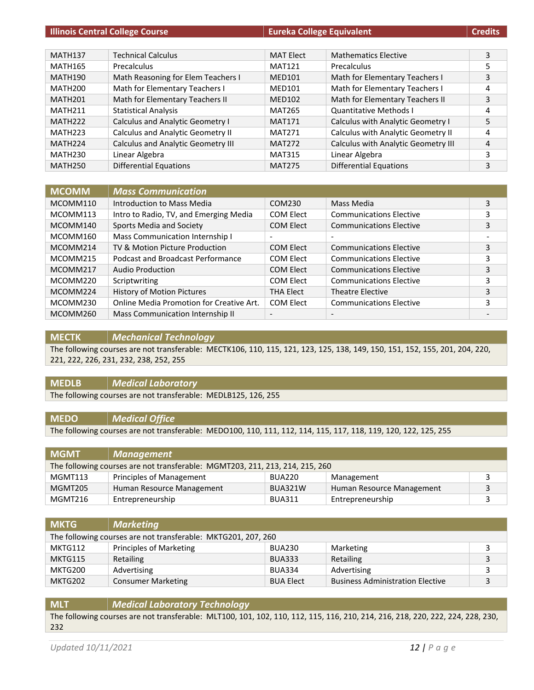| <b>Illinois Central College Course</b> |                                           | <b>Eureka College Equivalent</b> |                                     | <b>Credits</b> |
|----------------------------------------|-------------------------------------------|----------------------------------|-------------------------------------|----------------|
|                                        |                                           |                                  |                                     |                |
| <b>MATH137</b>                         | <b>Technical Calculus</b>                 | <b>MAT Elect</b>                 | <b>Mathematics Elective</b>         | 3              |
| <b>MATH165</b>                         | Precalculus                               | <b>MAT121</b>                    | Precalculus                         | 5              |
| <b>MATH190</b>                         | Math Reasoning for Elem Teachers I        | <b>MED101</b>                    | Math for Elementary Teachers I      | 3              |
| <b>MATH200</b>                         | Math for Elementary Teachers I            | <b>MED101</b>                    | Math for Elementary Teachers I      | 4              |
| <b>MATH201</b>                         | Math for Elementary Teachers II           | <b>MED102</b>                    | Math for Elementary Teachers II     | 3              |
| MATH <sub>211</sub>                    | <b>Statistical Analysis</b>               | <b>MAT265</b>                    | <b>Quantitative Methods I</b>       | 4              |
| MATH <sub>222</sub>                    | Calculus and Analytic Geometry I          | <b>MAT171</b>                    | Calculus with Analytic Geometry I   | 5              |
| MATH <sub>223</sub>                    | <b>Calculus and Analytic Geometry II</b>  | <b>MAT271</b>                    | Calculus with Analytic Geometry II  | 4              |
| MATH <sub>224</sub>                    | <b>Calculus and Analytic Geometry III</b> | <b>MAT272</b>                    | Calculus with Analytic Geometry III | 4              |
| MATH <sub>230</sub>                    | Linear Algebra                            | <b>MAT315</b>                    | Linear Algebra                      | 3              |
| <b>MATH250</b>                         | <b>Differential Equations</b>             | <b>MAT275</b>                    | <b>Differential Equations</b>       | 3              |

| <b>MCOMM</b> | <b>Mass Communication</b>                |                          |                                |   |
|--------------|------------------------------------------|--------------------------|--------------------------------|---|
| MCOMM110     | Introduction to Mass Media               | COM230                   | Mass Media                     | 3 |
| MCOMM113     | Intro to Radio, TV, and Emerging Media   | COM Elect                | <b>Communications Elective</b> | 3 |
| MCOMM140     | Sports Media and Society                 | <b>COM Elect</b>         | <b>Communications Elective</b> | 3 |
| MCOMM160     | Mass Communication Internship I          | $\overline{\phantom{a}}$ | $\overline{\phantom{0}}$       |   |
| MCOMM214     | TV & Motion Picture Production           | <b>COM Elect</b>         | <b>Communications Elective</b> | 3 |
| MCOMM215     | Podcast and Broadcast Performance        | COM Elect                | <b>Communications Elective</b> | 3 |
| MCOMM217     | Audio Production                         | <b>COM Elect</b>         | <b>Communications Elective</b> | 3 |
| MCOMM220     | Scriptwriting                            | COM Elect                | <b>Communications Elective</b> | 3 |
| MCOMM224     | History of Motion Pictures               | <b>THA Elect</b>         | <b>Theatre Elective</b>        | 3 |
| MCOMM230     | Online Media Promotion for Creative Art. | COM Elect                | <b>Communications Elective</b> | 3 |
| MCOMM260     | Mass Communication Internship II         | $\overline{\phantom{a}}$ | $\overline{\phantom{a}}$       |   |

#### **MECTK** *Mechanical Technology*

The following courses are not transferable: MECTK106, 110, 115, 121, 123, 125, 138, 149, 150, 151, 152, 155, 201, 204, 220, 221, 222, 226, 231, 232, 238, 252, 255

# **MEDLB** *Medical Laboratory*

The following courses are not transferable: MEDLB125, 126, 255

#### **MEDO** *Medical Office*

The following courses are not transferable: MEDO100, 110, 111, 112, 114, 115, 117, 118, 119, 120, 122, 125, 255

| <b>MGMT</b>                                                                  | $\mid$ Management               |               |                           |  |
|------------------------------------------------------------------------------|---------------------------------|---------------|---------------------------|--|
| The following courses are not transferable: MGMT203, 211, 213, 214, 215, 260 |                                 |               |                           |  |
| MGMT113                                                                      | <b>Principles of Management</b> | <b>BUA220</b> | Management                |  |
| MGMT205                                                                      | Human Resource Management       | BUA321W       | Human Resource Management |  |
| MGMT216                                                                      | Entrepreneurship                | <b>BUA311</b> | Entrepreneurship          |  |

| <b>MKTG</b>                                                   | <b>Marketing</b>          |                  |                                         |   |
|---------------------------------------------------------------|---------------------------|------------------|-----------------------------------------|---|
| The following courses are not transferable: MKTG201, 207, 260 |                           |                  |                                         |   |
| MKTG112                                                       | Principles of Marketing   | <b>BUA230</b>    | Marketing                               |   |
| MKTG115                                                       | Retailing                 | <b>BUA333</b>    | Retailing                               | 3 |
| MKTG200                                                       | Advertising               | <b>BUA334</b>    | Advertising                             |   |
| MKTG202                                                       | <b>Consumer Marketing</b> | <b>BUA Elect</b> | <b>Business Administration Elective</b> | 3 |

# **MLT** *Medical Laboratory Technology* The following courses are not transferable: MLT100, 101, 102, 110, 112, 115, 116, 210, 214, 216, 218, 220, 222, 224, 228, 230, 232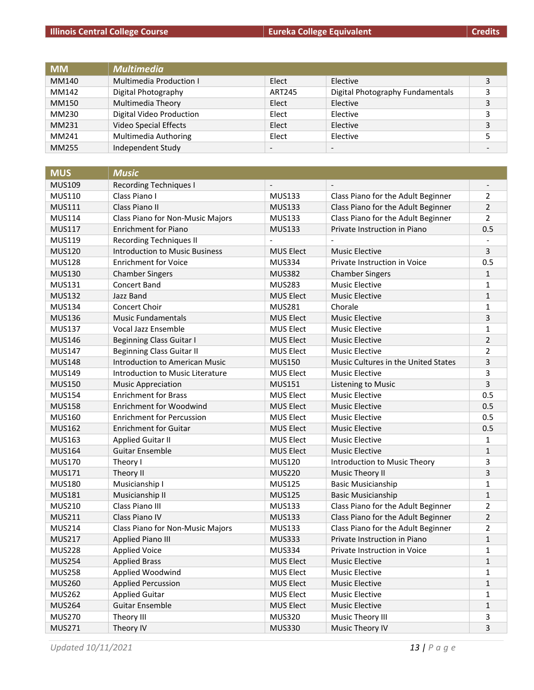| <b>MM</b> | <b>Multimedia</b>        |                          |                                  |   |
|-----------|--------------------------|--------------------------|----------------------------------|---|
| MM140     | Multimedia Production I  | Elect                    | Elective                         | 3 |
| MM142     | Digital Photography      | <b>ART245</b>            | Digital Photography Fundamentals | 3 |
| MM150     | Multimedia Theory        | Elect                    | Elective                         | 3 |
| MM230     | Digital Video Production | Elect                    | Elective                         | 3 |
| MM231     | Video Special Effects    | Elect                    | Elective                         | 3 |
| MM241     | Multimedia Authoring     | Elect                    | Elective                         |   |
| MM255     | Independent Study        | $\overline{\phantom{a}}$ | $\overline{\phantom{a}}$         |   |

| <b>MUS</b>    | <b>Music</b>                          |                  |                                     |                          |
|---------------|---------------------------------------|------------------|-------------------------------------|--------------------------|
| <b>MUS109</b> | <b>Recording Techniques I</b>         |                  |                                     |                          |
| <b>MUS110</b> | Class Piano I                         | <b>MUS133</b>    | Class Piano for the Adult Beginner  | $\overline{2}$           |
| <b>MUS111</b> | Class Piano II                        | <b>MUS133</b>    | Class Piano for the Adult Beginner  | $\overline{2}$           |
| <b>MUS114</b> | Class Piano for Non-Music Majors      | <b>MUS133</b>    | Class Piano for the Adult Beginner  | $\overline{2}$           |
| <b>MUS117</b> | <b>Enrichment for Piano</b>           | <b>MUS133</b>    | Private Instruction in Piano        | 0.5                      |
| MUS119        | <b>Recording Techniques II</b>        |                  |                                     | $\overline{\phantom{a}}$ |
| <b>MUS120</b> | <b>Introduction to Music Business</b> | <b>MUS Elect</b> | <b>Music Elective</b>               | 3                        |
| <b>MUS128</b> | <b>Enrichment for Voice</b>           | <b>MUS334</b>    | Private Instruction in Voice        | 0.5                      |
| <b>MUS130</b> | <b>Chamber Singers</b>                | <b>MUS382</b>    | <b>Chamber Singers</b>              | $\mathbf{1}$             |
| <b>MUS131</b> | <b>Concert Band</b>                   | <b>MUS283</b>    | <b>Music Elective</b>               | 1                        |
| <b>MUS132</b> | Jazz Band                             | <b>MUS Elect</b> | <b>Music Elective</b>               | $\mathbf{1}$             |
| <b>MUS134</b> | <b>Concert Choir</b>                  | <b>MUS281</b>    | Chorale                             | 1                        |
| <b>MUS136</b> | <b>Music Fundamentals</b>             | <b>MUS Elect</b> | <b>Music Elective</b>               | 3                        |
| <b>MUS137</b> | <b>Vocal Jazz Ensemble</b>            | <b>MUS Elect</b> | <b>Music Elective</b>               | 1                        |
| <b>MUS146</b> | <b>Beginning Class Guitar I</b>       | <b>MUS Elect</b> | <b>Music Elective</b>               | $\overline{2}$           |
| <b>MUS147</b> | <b>Beginning Class Guitar II</b>      | <b>MUS Elect</b> | <b>Music Elective</b>               | $\overline{2}$           |
| <b>MUS148</b> | <b>Introduction to American Music</b> | <b>MUS150</b>    | Music Cultures in the United States | 3                        |
| <b>MUS149</b> | Introduction to Music Literature      | <b>MUS Elect</b> | <b>Music Elective</b>               | 3                        |
| <b>MUS150</b> | <b>Music Appreciation</b>             | <b>MUS151</b>    | Listening to Music                  | 3                        |
| <b>MUS154</b> | <b>Enrichment for Brass</b>           | <b>MUS Elect</b> | <b>Music Elective</b>               | 0.5                      |
| <b>MUS158</b> | <b>Enrichment for Woodwind</b>        | <b>MUS Elect</b> | <b>Music Elective</b>               | 0.5                      |
| <b>MUS160</b> | <b>Enrichment for Percussion</b>      | <b>MUS Elect</b> | <b>Music Elective</b>               | 0.5                      |
| <b>MUS162</b> | <b>Enrichment for Guitar</b>          | <b>MUS Elect</b> | <b>Music Elective</b>               | 0.5                      |
| <b>MUS163</b> | <b>Applied Guitar II</b>              | <b>MUS Elect</b> | <b>Music Elective</b>               | 1                        |
| <b>MUS164</b> | <b>Guitar Ensemble</b>                | <b>MUS Elect</b> | <b>Music Elective</b>               | $\mathbf{1}$             |
| <b>MUS170</b> | Theory I                              | <b>MUS120</b>    | Introduction to Music Theory        | 3                        |
| <b>MUS171</b> | Theory II                             | <b>MUS220</b>    | Music Theory II                     | 3                        |
| <b>MUS180</b> | Musicianship I                        | <b>MUS125</b>    | <b>Basic Musicianship</b>           | $\mathbf{1}$             |
| <b>MUS181</b> | Musicianship II                       | <b>MUS125</b>    | <b>Basic Musicianship</b>           | $\mathbf 1$              |
| <b>MUS210</b> | Class Piano III                       | <b>MUS133</b>    | Class Piano for the Adult Beginner  | $\overline{2}$           |
| <b>MUS211</b> | Class Piano IV                        | <b>MUS133</b>    | Class Piano for the Adult Beginner  | $\overline{2}$           |
| <b>MUS214</b> | Class Piano for Non-Music Majors      | <b>MUS133</b>    | Class Piano for the Adult Beginner  | $\overline{2}$           |
| <b>MUS217</b> | <b>Applied Piano III</b>              | <b>MUS333</b>    | Private Instruction in Piano        | $\mathbf{1}$             |
| <b>MUS228</b> | <b>Applied Voice</b>                  | <b>MUS334</b>    | Private Instruction in Voice        | 1                        |
| <b>MUS254</b> | <b>Applied Brass</b>                  | <b>MUS Elect</b> | <b>Music Elective</b>               | $\mathbf{1}$             |
| <b>MUS258</b> | Applied Woodwind                      | <b>MUS Elect</b> | <b>Music Elective</b>               | 1                        |
| <b>MUS260</b> | <b>Applied Percussion</b>             | <b>MUS Elect</b> | <b>Music Elective</b>               | $\mathbf{1}$             |
| <b>MUS262</b> | <b>Applied Guitar</b>                 | <b>MUS Elect</b> | <b>Music Elective</b>               | 1                        |
| <b>MUS264</b> | <b>Guitar Ensemble</b>                | <b>MUS Elect</b> | <b>Music Elective</b>               | 1                        |
| <b>MUS270</b> | Theory III                            | <b>MUS320</b>    | Music Theory III                    | 3                        |
| <b>MUS271</b> | Theory IV                             | <b>MUS330</b>    | Music Theory IV                     | 3                        |

*Updated 10/11/2021 13 | Page*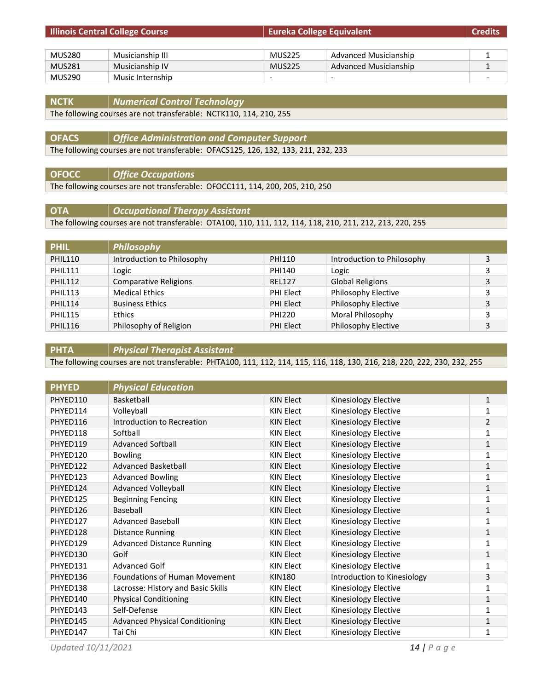| <b>Illinois Central College Course</b> |                  | <b>Eureka College Equivalent</b> |                              | <b>Credits</b> |
|----------------------------------------|------------------|----------------------------------|------------------------------|----------------|
|                                        |                  |                                  |                              |                |
| MUS280                                 | Musicianship III | <b>MUS225</b>                    | <b>Advanced Musicianship</b> |                |
| <b>MUS281</b>                          | Musicianship IV  | <b>MUS225</b>                    | <b>Advanced Musicianship</b> |                |
| MUS290                                 | Music Internship | $\overline{\phantom{0}}$         | $\overline{\phantom{0}}$     |                |

| <b>NCTK</b> | Numerical Control Technology                                                  |
|-------------|-------------------------------------------------------------------------------|
|             | $T_{\text{left}}$ following courses are not transferable. NCTI/110 114 210 25 |

The following courses are not transferable: NCTK110, 114, 210, 255

**OFACS** *Office Administration and Computer Support* The following courses are not transferable: OFACS125, 126, 132, 133, 211, 232, 233

**OFOCC** *Office Occupations*

The following courses are not transferable: OFOCC111, 114, 200, 205, 210, 250

**OTA** *Occupational Therapy Assistant* The following courses are not transferable: OTA100, 110, 111, 112, 114, 118, 210, 211, 212, 213, 220, 255

| <b>PHIL</b>    | <b>Philosophy</b>            |                  |                            |   |
|----------------|------------------------------|------------------|----------------------------|---|
| <b>PHIL110</b> | Introduction to Philosophy   | PHI110           | Introduction to Philosophy | 3 |
| <b>PHIL111</b> | Logic                        | PHI140           | Logic                      | 3 |
| <b>PHIL112</b> | <b>Comparative Religions</b> | <b>REL127</b>    | <b>Global Religions</b>    | 3 |
| <b>PHIL113</b> | <b>Medical Ethics</b>        | PHI Elect        | Philosophy Elective        | 3 |
| <b>PHIL114</b> | <b>Business Ethics</b>       | <b>PHI Elect</b> | Philosophy Elective        | 3 |
| <b>PHIL115</b> | <b>Ethics</b>                | <b>PHI220</b>    | Moral Philosophy           | 3 |
| <b>PHIL116</b> | Philosophy of Religion       | <b>PHI Elect</b> | Philosophy Elective        | 3 |

**PHTA** *Physical Therapist Assistant*

The following courses are not transferable: PHTA100, 111, 112, 114, 115, 116, 118, 130, 216, 218, 220, 222, 230, 232, 255

| <b>PHYED</b> | <b>Physical Education</b>             |                  |                             |                |
|--------------|---------------------------------------|------------------|-----------------------------|----------------|
| PHYED110     | Basketball                            | <b>KIN Elect</b> | Kinesiology Elective        | 1              |
| PHYED114     | Volleyball                            | <b>KIN Elect</b> | <b>Kinesiology Elective</b> | 1              |
| PHYED116     | Introduction to Recreation            | <b>KIN Elect</b> | Kinesiology Elective        | $\overline{2}$ |
| PHYED118     | Softball                              | KIN Elect        | Kinesiology Elective        | 1              |
| PHYED119     | <b>Advanced Softball</b>              | <b>KIN Elect</b> | Kinesiology Elective        | $\mathbf{1}$   |
| PHYED120     | <b>Bowling</b>                        | <b>KIN Elect</b> | Kinesiology Elective        | 1              |
| PHYED122     | <b>Advanced Basketball</b>            | <b>KIN Elect</b> | Kinesiology Elective        | 1              |
| PHYED123     | <b>Advanced Bowling</b>               | <b>KIN Elect</b> | <b>Kinesiology Elective</b> | 1              |
| PHYED124     | <b>Advanced Volleyball</b>            | <b>KIN Elect</b> | Kinesiology Elective        | 1              |
| PHYED125     | <b>Beginning Fencing</b>              | <b>KIN Elect</b> | Kinesiology Elective        | 1              |
| PHYED126     | Baseball                              | <b>KIN Elect</b> | Kinesiology Elective        | 1              |
| PHYED127     | <b>Advanced Baseball</b>              | <b>KIN Elect</b> | <b>Kinesiology Elective</b> | 1              |
| PHYED128     | <b>Distance Running</b>               | <b>KIN Elect</b> | Kinesiology Elective        | 1              |
| PHYED129     | <b>Advanced Distance Running</b>      | <b>KIN Elect</b> | Kinesiology Elective        | 1              |
| PHYED130     | Golf                                  | <b>KIN Elect</b> | Kinesiology Elective        | 1              |
| PHYED131     | <b>Advanced Golf</b>                  | <b>KIN Elect</b> | Kinesiology Elective        | 1              |
| PHYED136     | Foundations of Human Movement         | <b>KIN180</b>    | Introduction to Kinesiology | 3              |
| PHYED138     | Lacrosse: History and Basic Skills    | <b>KIN Elect</b> | Kinesiology Elective        | 1              |
| PHYED140     | <b>Physical Conditioning</b>          | <b>KIN Elect</b> | Kinesiology Elective        | 1              |
| PHYED143     | Self-Defense                          | <b>KIN Elect</b> | <b>Kinesiology Elective</b> | 1              |
| PHYED145     | <b>Advanced Physical Conditioning</b> | <b>KIN Elect</b> | Kinesiology Elective        | 1              |
| PHYED147     | Tai Chi                               | <b>KIN Elect</b> | <b>Kinesiology Elective</b> | 1              |

*Updated 10/11/2021 14 | Page*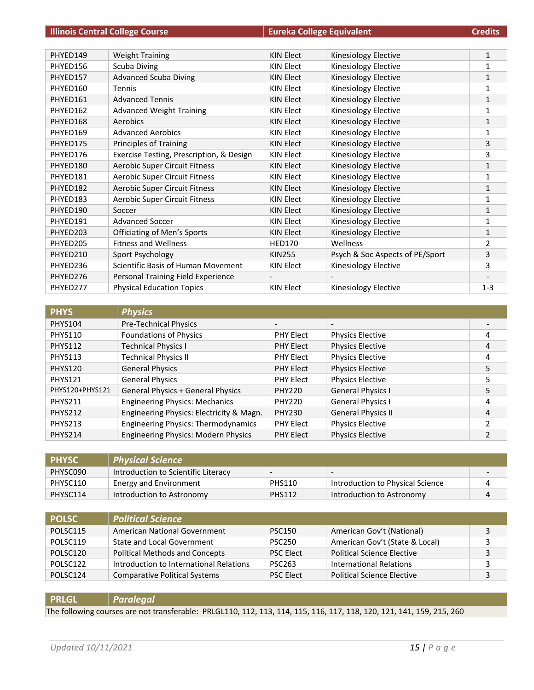| <b>Illinois Central College Course</b> |                                          | <b>Eureka College Equivalent</b> |                                 | <b>Credits</b> |
|----------------------------------------|------------------------------------------|----------------------------------|---------------------------------|----------------|
|                                        |                                          |                                  |                                 |                |
| PHYED149                               | <b>Weight Training</b>                   | <b>KIN Elect</b>                 | Kinesiology Elective            | $\mathbf{1}$   |
| PHYED156                               | Scuba Diving                             | <b>KIN Elect</b>                 | Kinesiology Elective            | 1              |
| PHYED157                               | <b>Advanced Scuba Diving</b>             | <b>KIN Elect</b>                 | Kinesiology Elective            | $\mathbf{1}$   |
| PHYED160                               | <b>Tennis</b>                            | <b>KIN Elect</b>                 | Kinesiology Elective            | 1              |
| PHYED161                               | <b>Advanced Tennis</b>                   | <b>KIN Elect</b>                 | <b>Kinesiology Elective</b>     | $\mathbf{1}$   |
| PHYED162                               | <b>Advanced Weight Training</b>          | <b>KIN Elect</b>                 | Kinesiology Elective            | $\mathbf{1}$   |
| PHYED168                               | Aerobics                                 | <b>KIN Elect</b>                 | Kinesiology Elective            | $\mathbf{1}$   |
| PHYED169                               | <b>Advanced Aerobics</b>                 | <b>KIN Elect</b>                 | Kinesiology Elective            | 1              |
| PHYED175                               | <b>Principles of Training</b>            | <b>KIN Elect</b>                 | Kinesiology Elective            | 3              |
| PHYED176                               | Exercise Testing, Prescription, & Design | <b>KIN Elect</b>                 | Kinesiology Elective            | 3              |
| PHYED180                               | Aerobic Super Circuit Fitness            | <b>KIN Elect</b>                 | Kinesiology Elective            | $\mathbf{1}$   |
| PHYED181                               | Aerobic Super Circuit Fitness            | <b>KIN Elect</b>                 | Kinesiology Elective            | 1              |
| PHYED182                               | Aerobic Super Circuit Fitness            | <b>KIN Elect</b>                 | Kinesiology Elective            | $\mathbf{1}$   |
| PHYED183                               | <b>Aerobic Super Circuit Fitness</b>     | <b>KIN Elect</b>                 | Kinesiology Elective            | 1              |
| PHYED190                               | Soccer                                   | <b>KIN Elect</b>                 | Kinesiology Elective            | 1              |
| PHYED191                               | <b>Advanced Soccer</b>                   | <b>KIN Elect</b>                 | <b>Kinesiology Elective</b>     | $\mathbf{1}$   |
| PHYED203                               | <b>Officiating of Men's Sports</b>       | <b>KIN Elect</b>                 | <b>Kinesiology Elective</b>     | $\mathbf{1}$   |
| PHYED205                               | <b>Fitness and Wellness</b>              | <b>HED170</b>                    | Wellness                        | $\overline{2}$ |
| PHYED210                               | Sport Psychology                         | <b>KIN255</b>                    | Psych & Soc Aspects of PE/Sport | 3              |
| PHYED236                               | Scientific Basis of Human Movement       | <b>KIN Elect</b>                 | Kinesiology Elective            | 3              |
| PHYED276                               | Personal Training Field Experience       | $\overline{\phantom{a}}$         |                                 |                |
| PHYED277                               | <b>Physical Education Topics</b>         | <b>KIN Elect</b>                 | Kinesiology Elective            | $1 - 3$        |

| <b>PHYS</b>     | <b>Physics</b>                             |                  |                           |   |
|-----------------|--------------------------------------------|------------------|---------------------------|---|
| <b>PHYS104</b>  | Pre-Technical Physics                      |                  | $\overline{\phantom{0}}$  |   |
| <b>PHYS110</b>  | <b>Foundations of Physics</b>              | <b>PHY Elect</b> | <b>Physics Elective</b>   | 4 |
| <b>PHYS112</b>  | <b>Technical Physics I</b>                 | <b>PHY Elect</b> | <b>Physics Elective</b>   | 4 |
| <b>PHYS113</b>  | <b>Technical Physics II</b>                | <b>PHY Elect</b> | <b>Physics Elective</b>   | 4 |
| <b>PHYS120</b>  | <b>General Physics</b>                     | <b>PHY Elect</b> | <b>Physics Elective</b>   | 5 |
| <b>PHYS121</b>  | <b>General Physics</b>                     | <b>PHY Elect</b> | <b>Physics Elective</b>   | 5 |
| PHYS120+PHYS121 | <b>General Physics + General Physics</b>   | <b>PHY220</b>    | <b>General Physics I</b>  | 5 |
| <b>PHYS211</b>  | <b>Engineering Physics: Mechanics</b>      | <b>PHY220</b>    | <b>General Physics I</b>  | 4 |
| <b>PHYS212</b>  | Engineering Physics: Electricity & Magn.   | <b>PHY230</b>    | <b>General Physics II</b> | 4 |
| <b>PHYS213</b>  | <b>Engineering Physics: Thermodynamics</b> | <b>PHY Elect</b> | <b>Physics Elective</b>   | 2 |
| <b>PHYS214</b>  | <b>Engineering Physics: Modern Physics</b> | <b>PHY Elect</b> | <b>Physics Elective</b>   | 2 |

| <b>PHYSC</b> | <b>Physical Science</b>             |                          |                                  |   |
|--------------|-------------------------------------|--------------------------|----------------------------------|---|
| PHYSC090     | Introduction to Scientific Literacy | $\overline{\phantom{0}}$ | $\overline{\phantom{0}}$         |   |
| PHYSC110     | <b>Energy and Environment</b>       | <b>PHS110</b>            | Introduction to Physical Science |   |
| PHYSC114     | Introduction to Astronomy           | <b>PHS112</b>            | Introduction to Astronomy        | 4 |

| <b>POLSC</b> | <b>Political Science</b>                |                  |                                   |   |
|--------------|-----------------------------------------|------------------|-----------------------------------|---|
| POLSC115     | American National Government            | <b>PSC150</b>    | American Gov't (National)         | 3 |
| POLSC119     | <b>State and Local Government</b>       | <b>PSC250</b>    | American Gov't (State & Local)    |   |
| POLSC120     | <b>Political Methods and Concepts</b>   | <b>PSC Elect</b> | <b>Political Science Elective</b> | 3 |
| POLSC122     | Introduction to International Relations | <b>PSC263</b>    | International Relations           |   |
| POLSC124     | <b>Comparative Political Systems</b>    | <b>PSC Elect</b> | <b>Political Science Elective</b> | 3 |

**PRLGL** *Paralegal*

The following courses are not transferable: PRLGL110, 112, 113, 114, 115, 116, 117, 118, 120, 121, 141, 159, 215, 260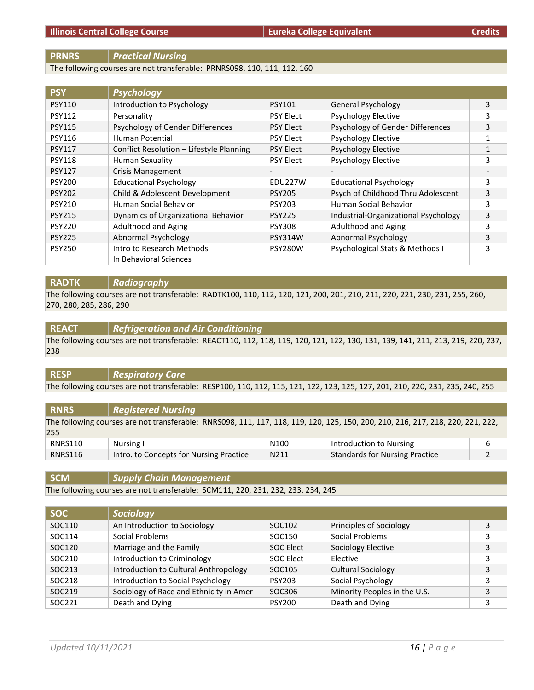### **PRNRS** *Practical Nursing*

The following courses are not transferable: PRNRS098, 110, 111, 112, 160

| <b>PSY</b>    | <b>Psychology</b>                        |                          |                                      |   |
|---------------|------------------------------------------|--------------------------|--------------------------------------|---|
| <b>PSY110</b> | Introduction to Psychology               | <b>PSY101</b>            | <b>General Psychology</b>            | 3 |
| <b>PSY112</b> | Personality                              | <b>PSY Elect</b>         | <b>Psychology Elective</b>           | 3 |
| <b>PSY115</b> | Psychology of Gender Differences         | <b>PSY Elect</b>         | Psychology of Gender Differences     | 3 |
| <b>PSY116</b> | Human Potential                          | <b>PSY Elect</b>         | <b>Psychology Elective</b>           |   |
| <b>PSY117</b> | Conflict Resolution - Lifestyle Planning | <b>PSY Elect</b>         | <b>Psychology Elective</b>           |   |
| <b>PSY118</b> | Human Sexuality                          | <b>PSY Elect</b>         | <b>Psychology Elective</b>           | 3 |
| <b>PSY127</b> | <b>Crisis Management</b>                 | $\overline{\phantom{a}}$ |                                      |   |
| <b>PSY200</b> | <b>Educational Psychology</b>            | EDU227W                  | <b>Educational Psychology</b>        | 3 |
| <b>PSY202</b> | Child & Adolescent Development           | <b>PSY205</b>            | Psych of Childhood Thru Adolescent   | 3 |
| <b>PSY210</b> | Human Social Behavior                    | <b>PSY203</b>            | Human Social Behavior                | 3 |
| <b>PSY215</b> | Dynamics of Organizational Behavior      | <b>PSY225</b>            | Industrial-Organizational Psychology | 3 |
| <b>PSY220</b> | <b>Adulthood and Aging</b>               | <b>PSY308</b>            | Adulthood and Aging                  | 3 |
| <b>PSY225</b> | Abnormal Psychology                      | <b>PSY314W</b>           | Abnormal Psychology                  | 3 |
| <b>PSY250</b> | Intro to Research Methods                | PSY280W                  | Psychological Stats & Methods I      | 3 |
|               | In Behavioral Sciences                   |                          |                                      |   |

#### **RADTK** *Radiography*

The following courses are not transferable: RADTK100, 110, 112, 120, 121, 200, 201, 210, 211, 220, 221, 230, 231, 255, 260, 270, 280, 285, 286, 290

#### **REACT** *Refrigeration and Air Conditioning*

The following courses are not transferable: REACT110, 112, 118, 119, 120, 121, 122, 130, 131, 139, 141, 211, 213, 219, 220, 237, 238

# **RESP** *Respiratory Care*

The following courses are not transferable: RESP100, 110, 112, 115, 121, 122, 123, 125, 127, 201, 210, 220, 231, 235, 240, 255

| <b>RNRS</b> | <b>Registered Nursing</b>                                                                                                       |                  |                                       |   |
|-------------|---------------------------------------------------------------------------------------------------------------------------------|------------------|---------------------------------------|---|
| 255         | The following courses are not transferable: RNRS098, 111, 117, 118, 119, 120, 125, 150, 200, 210, 216, 217, 218, 220, 221, 222, |                  |                                       |   |
| RNRS110     | Nursing I                                                                                                                       | N <sub>100</sub> | Introduction to Nursing               | 6 |
| RNRS116     | Intro. to Concepts for Nursing Practice                                                                                         | N211             | <b>Standards for Nursing Practice</b> |   |

**SCM** *Supply Chain Management*

The following courses are not transferable: SCM111, 220, 231, 232, 233, 234, 245

| <b>SOC</b> | Sociology                               |                  |                              |   |
|------------|-----------------------------------------|------------------|------------------------------|---|
| SOC110     | An Introduction to Sociology            | SOC102           | Principles of Sociology      | 3 |
| SOC114     | Social Problems                         | SOC150           | <b>Social Problems</b>       | 3 |
| SOC120     | Marriage and the Family                 | <b>SOC Elect</b> | Sociology Elective           | 3 |
| SOC210     | Introduction to Criminology             | SOC Elect        | Elective                     | 3 |
| SOC213     | Introduction to Cultural Anthropology   | SOC105           | <b>Cultural Sociology</b>    | 3 |
| SOC218     | Introduction to Social Psychology       | <b>PSY203</b>    | Social Psychology            | 3 |
| SOC219     | Sociology of Race and Ethnicity in Amer | SOC306           | Minority Peoples in the U.S. | 3 |
| SOC221     | Death and Dying                         | <b>PSY200</b>    | Death and Dying              | 3 |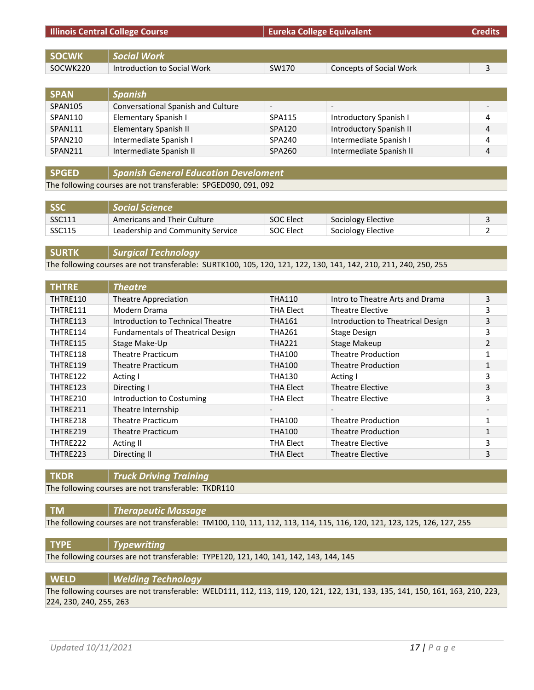| <b>Illinois Central College Course</b> |       | <b>Credits</b>          |                                  |
|----------------------------------------|-------|-------------------------|----------------------------------|
|                                        |       |                         |                                  |
| <b>Social Work</b>                     |       |                         |                                  |
| Introduction to Social Work            | SW170 | Concepts of Social Work |                                  |
|                                        |       |                         | <b>Eureka College Equivalent</b> |

| <b>SPAN</b> | <b>Spanish</b>                     |                          |                          |   |
|-------------|------------------------------------|--------------------------|--------------------------|---|
| SPAN105     | Conversational Spanish and Culture | $\overline{\phantom{a}}$ | $\overline{\phantom{0}}$ |   |
| SPAN110     | Elementary Spanish I               | SPA115                   | Introductory Spanish I   | 4 |
| SPAN111     | Elementary Spanish II              | SPA120                   | Introductory Spanish II  | 4 |
| SPAN210     | Intermediate Spanish I             | <b>SPA240</b>            | Intermediate Spanish I   | 4 |
| SPAN211     | Intermediate Spanish II            | SPA260                   | Intermediate Spanish II  | 4 |

**SPGED** *Spanish General Education Develoment*

The following courses are not transferable: SPGED090, 091, 092

| <b>SSC</b> | Social Science                   |                  |                    |  |
|------------|----------------------------------|------------------|--------------------|--|
| SSC111     | Americans and Their Culture      | <b>SOC Elect</b> | Sociology Elective |  |
| SSC115     | Leadership and Community Service | <b>SOC Elect</b> | Sociology Elective |  |

**SURTK** *Surgical Technology*

The following courses are not transferable: SURTK100, 105, 120, 121, 122, 130, 141, 142, 210, 211, 240, 250, 255

| <b>THTRE</b> | <b>Theatre</b>                           |                          |                                   |   |
|--------------|------------------------------------------|--------------------------|-----------------------------------|---|
| THTRE110     | Theatre Appreciation                     | <b>THA110</b>            | Intro to Theatre Arts and Drama   | 3 |
| THTRE111     | Modern Drama                             | <b>THA Elect</b>         | <b>Theatre Elective</b>           | 3 |
| THTRE113     | Introduction to Technical Theatre        | <b>THA161</b>            | Introduction to Theatrical Design | 3 |
| THTRE114     | <b>Fundamentals of Theatrical Design</b> | <b>THA261</b>            | Stage Design                      | 3 |
| THTRE115     | Stage Make-Up                            | <b>THA221</b>            | Stage Makeup                      | 2 |
| THTRE118     | <b>Theatre Practicum</b>                 | <b>THA100</b>            | <b>Theatre Production</b>         |   |
| THTRE119     | Theatre Practicum                        | <b>THA100</b>            | <b>Theatre Production</b>         | 1 |
| THTRE122     | Acting I                                 | <b>THA130</b>            | Acting I                          | 3 |
| THTRE123     | Directing I                              | <b>THA Elect</b>         | Theatre Elective                  | 3 |
| THTRE210     | Introduction to Costuming                | THA Elect                | <b>Theatre Elective</b>           | 3 |
| THTRE211     | Theatre Internship                       | $\overline{\phantom{a}}$ | $\overline{\phantom{a}}$          |   |
| THTRE218     | <b>Theatre Practicum</b>                 | <b>THA100</b>            | <b>Theatre Production</b>         | 1 |
| THTRE219     | Theatre Practicum                        | <b>THA100</b>            | <b>Theatre Production</b>         | 1 |
| THTRE222     | Acting II                                | THA Elect                | <b>Theatre Elective</b>           | 3 |
| THTRE223     | Directing II                             | <b>THA Elect</b>         | <b>Theatre Elective</b>           | 3 |

**TKDR** *Truck Driving Training*

The following courses are not transferable: TKDR110

#### **TM** *Therapeutic Massage*

The following courses are not transferable: TM100, 110, 111, 112, 113, 114, 115, 116, 120, 121, 123, 125, 126, 127, 255

**TYPE** *Typewriting*

The following courses are not transferable: TYPE120, 121, 140, 141, 142, 143, 144, 145

### **WELD** *Welding Technology*

The following courses are not transferable: WELD111, 112, 113, 119, 120, 121, 122, 131, 133, 135, 141, 150, 161, 163, 210, 223, 224, 230, 240, 255, 263